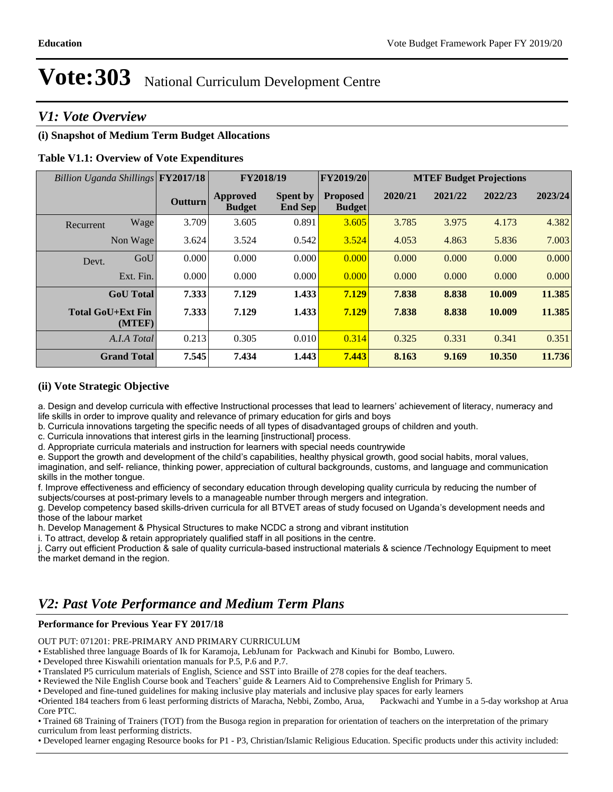## *V1: Vote Overview*

## **(i) Snapshot of Medium Term Budget Allocations**

## **Table V1.1: Overview of Vote Expenditures**

| Billion Uganda Shillings FY2017/18 |                | FY2018/19                 |                                   | FY2019/20                        | <b>MTEF Budget Projections</b> |         |         |         |
|------------------------------------|----------------|---------------------------|-----------------------------------|----------------------------------|--------------------------------|---------|---------|---------|
|                                    | <b>Outturn</b> | Approved<br><b>Budget</b> | <b>Spent by</b><br><b>End Sep</b> | <b>Proposed</b><br><b>Budget</b> | 2020/21                        | 2021/22 | 2022/23 | 2023/24 |
| Wage<br>Recurrent                  | 3.709          | 3.605                     | 0.891                             | 3.605                            | 3.785                          | 3.975   | 4.173   | 4.382   |
| Non Wage                           | 3.624          | 3.524                     | 0.542                             | 3.524                            | 4.053                          | 4.863   | 5.836   | 7.003   |
| GoU<br>Devt.                       | 0.000          | 0.000                     | 0.000                             | 0.000                            | 0.000                          | 0.000   | 0.000   | 0.000   |
| Ext. Fin.                          | 0.000          | 0.000                     | 0.000                             | 0.000                            | 0.000                          | 0.000   | 0.000   | 0.000   |
| <b>GoU</b> Total                   | 7.333          | 7.129                     | 1.433                             | 7.129                            | 7.838                          | 8.838   | 10.009  | 11.385  |
| <b>Total GoU+Ext Fin</b><br>(MTEF) | 7.333          | 7.129                     | 1.433                             | 7.129                            | 7.838                          | 8.838   | 10.009  | 11.385  |
| A.I.A Total                        | 0.213          | 0.305                     | 0.010                             | 0.314                            | 0.325                          | 0.331   | 0.341   | 0.351   |
| <b>Grand Total</b>                 | 7.545          | 7.434                     | 1.443                             | 7.443                            | 8.163                          | 9.169   | 10.350  | 11.736  |

## **(ii) Vote Strategic Objective**

a. Design and develop curricula with effective Instructional processes that lead to learners' achievement of literacy, numeracy and life skills in order to improve quality and relevance of primary education for girls and boys

b. Curricula innovations targeting the specific needs of all types of disadvantaged groups of children and youth.

c. Curricula innovations that interest girls in the learning [instructional] process.

d. Appropriate curricula materials and instruction for learners with special needs countrywide

e. Support the growth and development of the child's capabilities, healthy physical growth, good social habits, moral values, imagination, and self- reliance, thinking power, appreciation of cultural backgrounds, customs, and language and communication skills in the mother tongue.

f. Improve effectiveness and efficiency of secondary education through developing quality curricula by reducing the number of subjects/courses at post-primary levels to a manageable number through mergers and integration.

g. Develop competency based skills-driven curricula for all BTVET areas of study focused on Uganda's development needs and those of the labour market

h. Develop Management & Physical Structures to make NCDC a strong and vibrant institution

i. To attract, develop & retain appropriately qualified staff in all positions in the centre.

j. Carry out efficient Production & sale of quality curricula-based instructional materials & science /Technology Equipment to meet the market demand in the region.

## *V2: Past Vote Performance and Medium Term Plans*

## **Performance for Previous Year FY 2017/18**

OUT PUT: 071201: PRE-PRIMARY AND PRIMARY CURRICULUM

Established three language Boards of Ik for Karamoja, LebJunam for Packwach and Kinubi for Bombo, Luwero.

Translated P5 curriculum materials of English, Science and SST into Braille of 278 copies for the deaf teachers.

• Reviewed the Nile English Course book and Teachers' guide & Learners Aid to Comprehensive English for Primary 5.

Developed and fine-tuned guidelines for making inclusive play materials and inclusive play spaces for early learners

Oriented 184 teachers from 6 least performing districts of Maracha, Nebbi, Zombo, Arua, Packwachi and Yumbe in a 5-day workshop at Arua Core PTC.

Trained 68 Training of Trainers (TOT) from the Busoga region in preparation for orientation of teachers on the interpretation of the primary curriculum from least performing districts.

Developed learner engaging Resource books for P1 - P3, Christian/Islamic Religious Education. Specific products under this activity included:

Developed three Kiswahili orientation manuals for P.5, P.6 and P.7.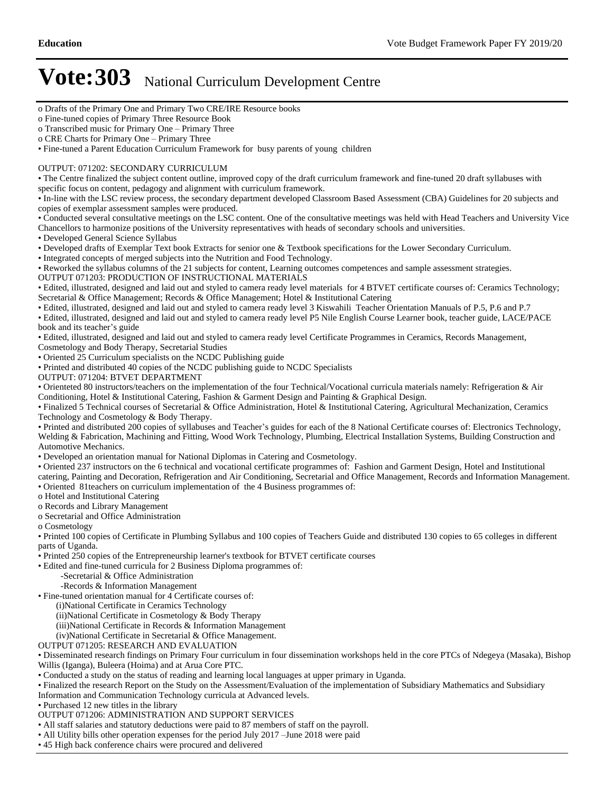- o Drafts of the Primary One and Primary Two CRE/IRE Resource books
- o Fine-tuned copies of Primary Three Resource Book
- o Transcribed music for Primary One Primary Three

Fine-tuned a Parent Education Curriculum Framework for busy parents of young children

### OUTPUT: 071202: SECONDARY CURRICULUM

The Centre finalized the subject content outline, improved copy of the draft curriculum framework and fine-tuned 20 draft syllabuses with specific focus on content, pedagogy and alignment with curriculum framework.

In-line with the LSC review process, the secondary department developed Classroom Based Assessment (CBA) Guidelines for 20 subjects and copies of exemplar assessment samples were produced.

Conducted several consultative meetings on the LSC content. One of the consultative meetings was held with Head Teachers and University Vice

Chancellors to harmonize positions of the University representatives with heads of secondary schools and universities.

Developed General Science Syllabus

Developed drafts of Exemplar Text book Extracts for senior one & Textbook specifications for the Lower Secondary Curriculum.

Integrated concepts of merged subjects into the Nutrition and Food Technology.

Reworked the syllabus columns of the 21 subjects for content, Learning outcomes competences and sample assessment strategies.

OUTPUT 071203: PRODUCTION OF INSTRUCTIONAL MATERIALS

Edited, illustrated, designed and laid out and styled to camera ready level materials for 4 BTVET certificate courses of: Ceramics Technology; Secretarial & Office Management; Records & Office Management; Hotel & Institutional Catering

Edited, illustrated, designed and laid out and styled to camera ready level 3 Kiswahili Teacher Orientation Manuals of P.5, P.6 and P.7

Edited, illustrated, designed and laid out and styled to camera ready level P5 Nile English Course Learner book, teacher guide, LACE/PACE book and its teacher's guide

Edited, illustrated, designed and laid out and styled to camera ready level Certificate Programmes in Ceramics, Records Management,

Cosmetology and Body Therapy, Secretarial Studies

Oriented 25 Curriculum specialists on the NCDC Publishing guide

Printed and distributed 40 copies of the NCDC publishing guide to NCDC Specialists

OUTPUT: 071204: BTVET DEPARTMENT

Orienteted 80 instructors/teachers on the implementation of the four Technical/Vocational curricula materials namely: Refrigeration & Air Conditioning, Hotel & Institutional Catering, Fashion & Garment Design and Painting & Graphical Design.

Finalized 5 Technical courses of Secretarial & Office Administration, Hotel & Institutional Catering, Agricultural Mechanization, Ceramics Technology and Cosmetology & Body Therapy.

• Printed and distributed 200 copies of syllabuses and Teacher's guides for each of the 8 National Certificate courses of: Electronics Technology, Welding & Fabrication, Machining and Fitting, Wood Work Technology, Plumbing, Electrical Installation Systems, Building Construction and Automotive Mechanics.

Developed an orientation manual for National Diplomas in Catering and Cosmetology.

Oriented 237 instructors on the 6 technical and vocational certificate programmes of: Fashion and Garment Design, Hotel and Institutional

catering, Painting and Decoration, Refrigeration and Air Conditioning, Secretarial and Office Management, Records and Information Management. Oriented 81teachers on curriculum implementation of the 4 Business programmes of:

o Hotel and Institutional Catering

o Records and Library Management

o Secretarial and Office Administration

o Cosmetology

Printed 100 copies of Certificate in Plumbing Syllabus and 100 copies of Teachers Guide and distributed 130 copies to 65 colleges in different parts of Uganda.

Printed 250 copies of the Entrepreneurship learner's textbook for BTVET certificate courses

Edited and fine-tuned curricula for 2 Business Diploma programmes of:

- -Secretarial & Office Administration
- -Records & Information Management

Fine-tuned orientation manual for 4 Certificate courses of:

(i)National Certificate in Ceramics Technology

(ii)National Certificate in Cosmetology & Body Therapy

(iii)National Certificate in Records & Information Management

(iv)National Certificate in Secretarial & Office Management.

OUTPUT 071205: RESEARCH AND EVALUATION

Disseminated research findings on Primary Four curriculum in four dissemination workshops held in the core PTCs of Ndegeya (Masaka), Bishop Willis (Iganga), Buleera (Hoima) and at Arua Core PTC.

Conducted a study on the status of reading and learning local languages at upper primary in Uganda.

Finalized the research Report on the Study on the Assessment/Evaluation of the implementation of Subsidiary Mathematics and Subsidiary

Information and Communication Technology curricula at Advanced levels.

Purchased 12 new titles in the library

## OUTPUT 071206: ADMINISTRATION AND SUPPORT SERVICES

All staff salaries and statutory deductions were paid to 87 members of staff on the payroll.

• All Utility bills other operation expenses for the period July 2017 - June 2018 were paid

45 High back conference chairs were procured and delivered

o CRE Charts for Primary One - Primary Three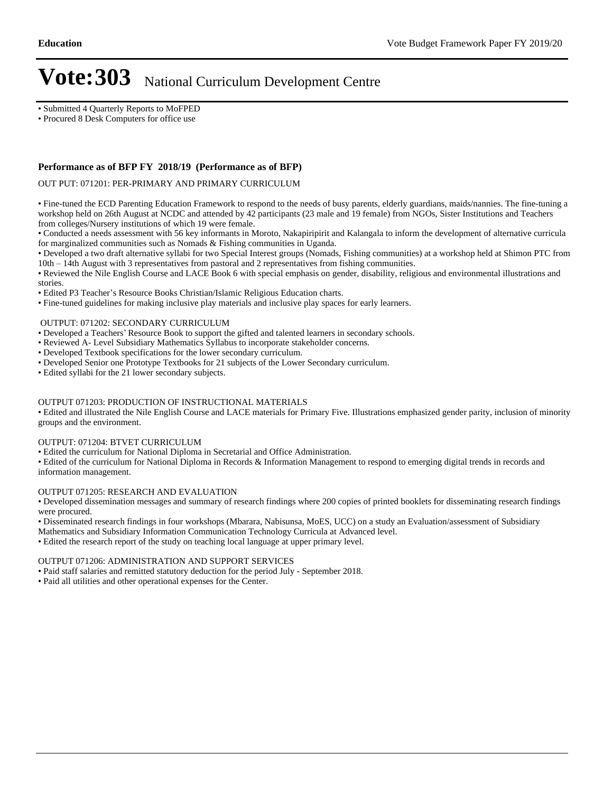Submitted 4 Quarterly Reports to MoFPED

Procured 8 Desk Computers for office use

## **Performance as of BFP FY 2018/19 (Performance as of BFP)**

OUT PUT: 071201: PER-PRIMARY AND PRIMARY CURRICULUM

Fine-tuned the ECD Parenting Education Framework to respond to the needs of busy parents, elderly guardians, maids/nannies. The fine-tuning a workshop held on 26th August at NCDC and attended by 42 participants (23 male and 19 female) from NGOs, Sister Institutions and Teachers from colleges/Nursery institutions of which 19 were female.

Conducted a needs assessment with 56 key informants in Moroto, Nakapiripirit and Kalangala to inform the development of alternative curricula for marginalized communities such as Nomads & Fishing communities in Uganda.

Developed a two draft alternative syllabi for two Special Interest groups (Nomads, Fishing communities) at a workshop held at Shimon PTC from  $10th - 14th$  August with 3 representatives from pastoral and 2 representatives from fishing communities.

Reviewed the Nile English Course and LACE Book 6 with special emphasis on gender, disability, religious and environmental illustrations and stories.

• Edited P3 Teacher's Resource Books Christian/Islamic Religious Education charts.

Fine-tuned guidelines for making inclusive play materials and inclusive play spaces for early learners.

### OUTPUT: 071202: SECONDARY CURRICULUM

• Developed a Teachers' Resource Book to support the gifted and talented learners in secondary schools.

- Reviewed A- Level Subsidiary Mathematics Syllabus to incorporate stakeholder concerns.
- Developed Textbook specifications for the lower secondary curriculum.
- Developed Senior one Prototype Textbooks for 21 subjects of the Lower Secondary curriculum.

Edited syllabi for the 21 lower secondary subjects.

### OUTPUT 071203: PRODUCTION OF INSTRUCTIONAL MATERIALS

Edited and illustrated the Nile English Course and LACE materials for Primary Five. Illustrations emphasized gender parity, inclusion of minority groups and the environment.

### OUTPUT: 071204: BTVET CURRICULUM

Edited the curriculum for National Diploma in Secretarial and Office Administration.

Edited of the curriculum for National Diploma in Records & Information Management to respond to emerging digital trends in records and information management.

### OUTPUT 071205: RESEARCH AND EVALUATION

Developed dissemination messages and summary of research findings where 200 copies of printed booklets for disseminating research findings were procured.

Disseminated research findings in four workshops (Mbarara, Nabisunsa, MoES, UCC) on a study an Evaluation/assessment of Subsidiary

Mathematics and Subsidiary Information Communication Technology Curricula at Advanced level.

Edited the research report of the study on teaching local language at upper primary level.

### OUTPUT 071206: ADMINISTRATION AND SUPPORT SERVICES

Paid staff salaries and remitted statutory deduction for the period July - September 2018.

Paid all utilities and other operational expenses for the Center.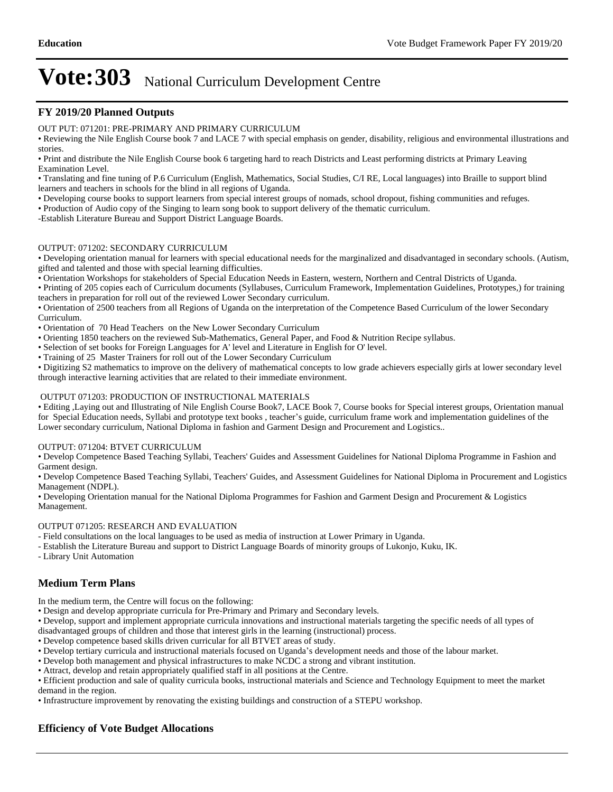## **FY 2019/20 Planned Outputs**

OUT PUT: 071201: PRE-PRIMARY AND PRIMARY CURRICULUM

• Reviewing the Nile English Course book 7 and LACE 7 with special emphasis on gender, disability, religious and environmental illustrations and stories.

Print and distribute the Nile English Course book 6 targeting hard to reach Districts and Least performing districts at Primary Leaving Examination Level.

Translating and fine tuning of P.6 Curriculum (English, Mathematics, Social Studies, C/I RE, Local languages) into Braille to support blind learners and teachers in schools for the blind in all regions of Uganda.

Developing course books to support learners from special interest groups of nomads, school dropout, fishing communities and refuges.

Production of Audio copy of the Singing to learn song book to support delivery of the thematic curriculum.

-Establish Literature Bureau and Support District Language Boards.

### OUTPUT: 071202: SECONDARY CURRICULUM

Developing orientation manual for learners with special educational needs for the marginalized and disadvantaged in secondary schools. (Autism, gifted and talented and those with special learning difficulties.

Orientation Workshops for stakeholders of Special Education Needs in Eastern, western, Northern and Central Districts of Uganda.

Printing of 205 copies each of Curriculum documents (Syllabuses, Curriculum Framework, Implementation Guidelines, Prototypes,) for training teachers in preparation for roll out of the reviewed Lower Secondary curriculum.

Orientation of 2500 teachers from all Regions of Uganda on the interpretation of the Competence Based Curriculum of the lower Secondary Curriculum.

Orientation of 70 Head Teachers on the New Lower Secondary Curriculum

Orienting 1850 teachers on the reviewed Sub-Mathematics, General Paper, and Food & Nutrition Recipe syllabus.

Selection of set books for Foreign Languages for A' level and Literature in English for O' level.

Training of 25 Master Trainers for roll out of the Lower Secondary Curriculum

Digitizing S2 mathematics to improve on the delivery of mathematical concepts to low grade achievers especially girls at lower secondary level through interactive learning activities that are related to their immediate environment.

### OUTPUT 071203: PRODUCTION OF INSTRUCTIONAL MATERIALS

Editing ,Laying out and Illustrating of Nile English Course Book7, LACE Book 7, Course books for Special interest groups, Orientation manual for Special Education needs, Syllabi and prototype text books, teacher's guide, curriculum frame work and implementation guidelines of the Lower secondary curriculum, National Diploma in fashion and Garment Design and Procurement and Logistics..

### OUTPUT: 071204: BTVET CURRICULUM

Develop Competence Based Teaching Syllabi, Teachers' Guides and Assessment Guidelines for National Diploma Programme in Fashion and Garment design.

Develop Competence Based Teaching Syllabi, Teachers' Guides, and Assessment Guidelines for National Diploma in Procurement and Logistics Management (NDPL).

Developing Orientation manual for the National Diploma Programmes for Fashion and Garment Design and Procurement & Logistics Management.

### OUTPUT 071205: RESEARCH AND EVALUATION

- Field consultations on the local languages to be used as media of instruction at Lower Primary in Uganda.

- Establish the Literature Bureau and support to District Language Boards of minority groups of Lukonjo, Kuku, IK.

- Library Unit Automation

## **Medium Term Plans**

In the medium term, the Centre will focus on the following:

Design and develop appropriate curricula for Pre-Primary and Primary and Secondary levels.

Develop, support and implement appropriate curricula innovations and instructional materials targeting the specific needs of all types of

disadvantaged groups of children and those that interest girls in the learning (instructional) process.

Develop competence based skills driven curricular for all BTVET areas of study.

• Develop tertiary curricula and instructional materials focused on Uganda's development needs and those of the labour market.

Develop both management and physical infrastructures to make NCDC a strong and vibrant institution.

Attract, develop and retain appropriately qualified staff in all positions at the Centre.

Efficient production and sale of quality curricula books, instructional materials and Science and Technology Equipment to meet the market demand in the region.

Infrastructure improvement by renovating the existing buildings and construction of a STEPU workshop.

### **Efficiency of Vote Budget Allocations**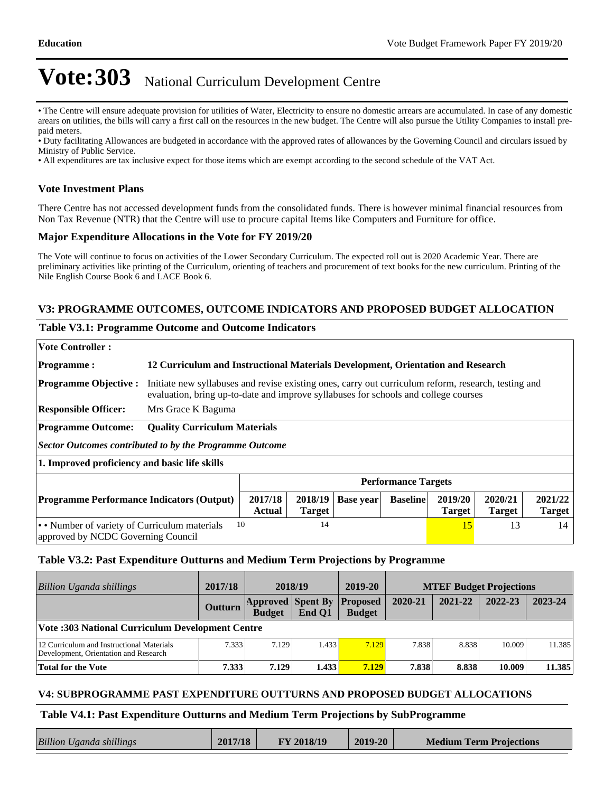The Centre will ensure adequate provision for utilities of Water, Electricity to ensure no domestic arrears are accumulated. In case of any domestic arears on utilities, the bills will carry a first call on the resources in the new budget. The Centre will also pursue the Utility Companies to install prepaid meters.

Duty facilitating Allowances are budgeted in accordance with the approved rates of allowances by the Governing Council and circulars issued by Ministry of Public Service.

All expenditures are tax inclusive expect for those items which are exempt according to the second schedule of the VAT Act.

## **Vote Investment Plans**

There Centre has not accessed development funds from the consolidated funds. There is however minimal financial resources from Non Tax Revenue (NTR) that the Centre will use to procure capital Items like Computers and Furniture for office.

## **Major Expenditure Allocations in the Vote for FY 2019/20**

The Vote will continue to focus on activities of the Lower Secondary Curriculum. The expected roll out is 2020 Academic Year. There are preliminary activities like printing of the Curriculum, orienting of teachers and procurement of text books for the new curriculum. Printing of the Nile English Course Book 6 and LACE Book 6.

## **V3: PROGRAMME OUTCOMES, OUTCOME INDICATORS AND PROPOSED BUDGET ALLOCATION**

## **Table V3.1: Programme Outcome and Outcome Indicators**

| <b>Vote Controller:</b>                                                     |                                                                                                                                                                                                  |                                                                                                                                                                                             |  |  |  |                          |  |  |
|-----------------------------------------------------------------------------|--------------------------------------------------------------------------------------------------------------------------------------------------------------------------------------------------|---------------------------------------------------------------------------------------------------------------------------------------------------------------------------------------------|--|--|--|--------------------------|--|--|
| <b>Programme:</b>                                                           | 12 Curriculum and Instructional Materials Development, Orientation and Research                                                                                                                  |                                                                                                                                                                                             |  |  |  |                          |  |  |
| <b>Programme Objective:</b>                                                 |                                                                                                                                                                                                  | Initiate new syllabuses and revise existing ones, carry out curriculum reform, research, testing and<br>evaluation, bring up-to-date and improve syllabuses for schools and college courses |  |  |  |                          |  |  |
| <b>Responsible Officer:</b>                                                 | Mrs Grace K Baguma                                                                                                                                                                               |                                                                                                                                                                                             |  |  |  |                          |  |  |
| <b>Programme Outcome:</b>                                                   |                                                                                                                                                                                                  | <b>Quality Curriculum Materials</b>                                                                                                                                                         |  |  |  |                          |  |  |
| Sector Outcomes contributed to by the Programme Outcome                     |                                                                                                                                                                                                  |                                                                                                                                                                                             |  |  |  |                          |  |  |
| 1. Improved proficiency and basic life skills                               |                                                                                                                                                                                                  |                                                                                                                                                                                             |  |  |  |                          |  |  |
|                                                                             | <b>Performance Targets</b>                                                                                                                                                                       |                                                                                                                                                                                             |  |  |  |                          |  |  |
|                                                                             | 2017/18<br>2020/21<br>2019/20<br>2018/19<br><b>Programme Performance Indicators (Output)</b><br><b>Baseline</b><br><b>Base year</b><br><b>Actual</b><br>Target<br><b>Target</b><br><b>Target</b> |                                                                                                                                                                                             |  |  |  | 2021/22<br><b>Target</b> |  |  |
| 10<br>14<br>• • Number of variety of Curriculum materials<br>15<br>13<br>14 |                                                                                                                                                                                                  |                                                                                                                                                                                             |  |  |  |                          |  |  |

approved by NCDC Governing Council

## **Table V3.2: Past Expenditure Outturns and Medium Term Projections by Programme**

| Billion Uganda shillings                                                           | 2017/18 | 2018/19                                   |        | 2019-20                          |         | <b>MTEF Budget Projections</b> |         |         |
|------------------------------------------------------------------------------------|---------|-------------------------------------------|--------|----------------------------------|---------|--------------------------------|---------|---------|
|                                                                                    | Outturn | <b>Approved Spent By</b><br><b>Budget</b> | End O1 | <b>Proposed</b><br><b>Budget</b> | 2020-21 | 2021-22                        | 2022-23 | 2023-24 |
| <b>Vote: 303 National Curriculum Development Centre</b>                            |         |                                           |        |                                  |         |                                |         |         |
| 12 Curriculum and Instructional Materials<br>Development, Orientation and Research | 7.333   | 7.129                                     | 1.433  | 7.129                            | 7.838   | 8.838                          | 10.009  | 11.385  |
| Total for the Vote                                                                 | 7.333   | 7.129                                     | 1.433  | 7.129                            | 7.838   | 8.838                          | 10.009  | 11.385  |

## **V4: SUBPROGRAMME PAST EXPENDITURE OUTTURNS AND PROPOSED BUDGET ALLOCATIONS**

## **Table V4.1: Past Expenditure Outturns and Medium Term Projections by SubProgramme**

| <b>Billion Uganda shillings</b> | 2017/18 | FY 2018/19 | 2019-20 | <b>Medium Term Projections</b> |
|---------------------------------|---------|------------|---------|--------------------------------|
|                                 |         |            |         |                                |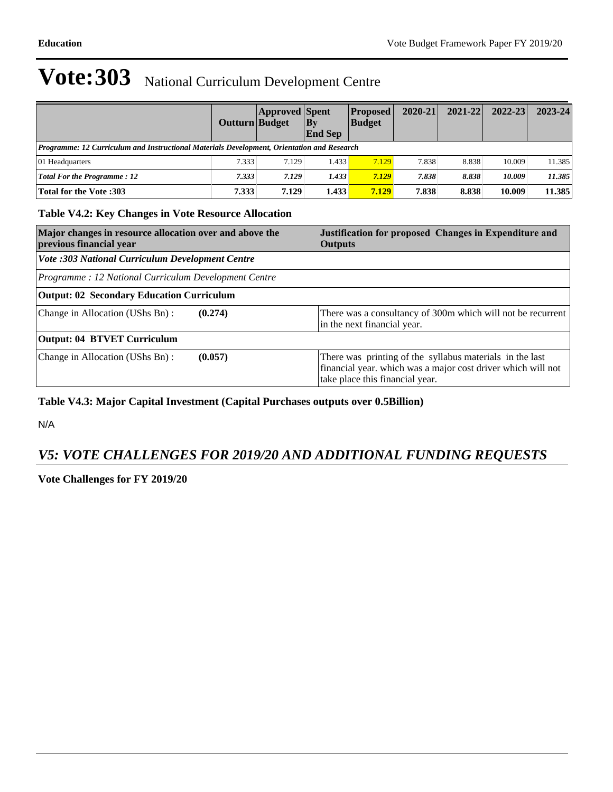|                                                                                            | Outturn Budget | <b>Approved Spent</b> | $ $ By<br><b>End Sep</b> | <b>Proposed</b><br><b>Budget</b> | $2020 - 21$ | $2021 - 22$ | $2022 - 23$ | $2023 - 24$ |
|--------------------------------------------------------------------------------------------|----------------|-----------------------|--------------------------|----------------------------------|-------------|-------------|-------------|-------------|
| Programme: 12 Curriculum and Instructional Materials Development, Orientation and Research |                |                       |                          |                                  |             |             |             |             |
| 01 Headquarters                                                                            | 7.333          | 7.129                 | 1.433                    | 7.129                            | 7.838       | 8.838       | 10.009      | 11.385      |
| <b>Total For the Programme: 12</b>                                                         | 7.333          | 7.129                 | 1.433                    | 7.129                            | 7.838       | 8.838       | 10.009      | 11.385      |
| Total for the Vote :303                                                                    | 7.333          | 7.129                 | 1.433                    | 7.129                            | 7.838       | 8.838       | 10.009      | 11.385      |

## **Table V4.2: Key Changes in Vote Resource Allocation**

| Major changes in resource allocation over and above the<br>previous financial year | Justification for proposed Changes in Expenditure and<br><b>Outputs</b>                                                                                     |
|------------------------------------------------------------------------------------|-------------------------------------------------------------------------------------------------------------------------------------------------------------|
| Vote :303 National Curriculum Development Centre                                   |                                                                                                                                                             |
| Programme: 12 National Curriculum Development Centre                               |                                                                                                                                                             |
| <b>Output: 02 Secondary Education Curriculum</b>                                   |                                                                                                                                                             |
| Change in Allocation (UShs Bn):<br>(0.274)                                         | There was a consultancy of 300m which will not be recurrent<br>in the next financial year.                                                                  |
| <b>Output: 04 BTVET Curriculum</b>                                                 |                                                                                                                                                             |
| Change in Allocation (UShs Bn):<br>(0.057)                                         | There was printing of the syllabus materials in the last<br>financial year. which was a major cost driver which will not<br>take place this financial year. |

## **Table V4.3: Major Capital Investment (Capital Purchases outputs over 0.5Billion)**

N/A

## *V5: VOTE CHALLENGES FOR 2019/20 AND ADDITIONAL FUNDING REQUESTS*

**Vote Challenges for FY 2019/20**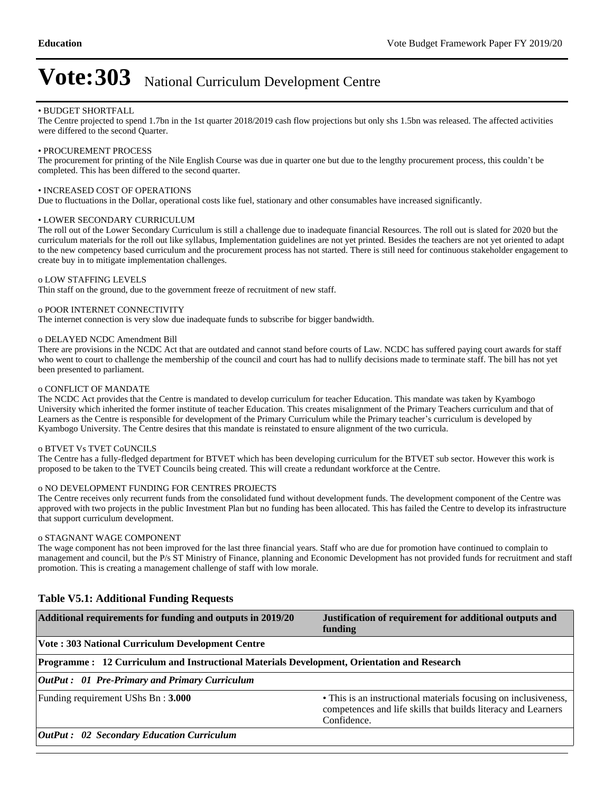#### BUDGET SHORTFALL

The Centre projected to spend 1.7bn in the 1st quarter 2018/2019 cash flow projections but only shs 1.5bn was released. The affected activities were differed to the second Quarter.

#### PROCUREMENT PROCESS

The procurement for printing of the Nile English Course was due in quarter one but due to the lengthy procurement process, this couldn't be completed. This has been differed to the second quarter.

#### • INCREASED COST OF OPERATIONS

Due to fluctuations in the Dollar, operational costs like fuel, stationary and other consumables have increased significantly.

#### LOWER SECONDARY CURRICULUM

The roll out of the Lower Secondary Curriculum is still a challenge due to inadequate financial Resources. The roll out is slated for 2020 but the curriculum materials for the roll out like syllabus, Implementation guidelines are not yet printed. Besides the teachers are not yet oriented to adapt to the new competency based curriculum and the procurement process has not started. There is still need for continuous stakeholder engagement to create buy in to mitigate implementation challenges.

#### o LOW STAFFING LEVELS

Thin staff on the ground, due to the government freeze of recruitment of new staff.

#### o POOR INTERNET CONNECTIVITY

The internet connection is very slow due inadequate funds to subscribe for bigger bandwidth.

#### o DELAYED NCDC Amendment Bill

There are provisions in the NCDC Act that are outdated and cannot stand before courts of Law. NCDC has suffered paying court awards for staff who went to court to challenge the membership of the council and court has had to nullify decisions made to terminate staff. The bill has not yet been presented to parliament.

#### o CONFLICT OF MANDATE

The NCDC Act provides that the Centre is mandated to develop curriculum for teacher Education. This mandate was taken by Kyambogo University which inherited the former institute of teacher Education. This creates misalignment of the Primary Teachers curriculum and that of Learners as the Centre is responsible for development of the Primary Curriculum while the Primary teacher's curriculum is developed by Kyambogo University. The Centre desires that this mandate is reinstated to ensure alignment of the two curricula.

### o BTVET Vs TVET CoUNCILS

The Centre has a fully-fledged department for BTVET which has been developing curriculum for the BTVET sub sector. However this work is proposed to be taken to the TVET Councils being created. This will create a redundant workforce at the Centre.

#### o NO DEVELOPMENT FUNDING FOR CENTRES PROJECTS

The Centre receives only recurrent funds from the consolidated fund without development funds. The development component of the Centre was approved with two projects in the public Investment Plan but no funding has been allocated. This has failed the Centre to develop its infrastructure that support curriculum development.

#### o STAGNANT WAGE COMPONENT

The wage component has not been improved for the last three financial years. Staff who are due for promotion have continued to complain to management and council, but the P/s ST Ministry of Finance, planning and Economic Development has not provided funds for recruitment and staff promotion. This is creating a management challenge of staff with low morale.

| Additional requirements for funding and outputs in 2019/20                                 | Justification of requirement for additional outputs and<br>funding                                                                              |  |  |  |  |
|--------------------------------------------------------------------------------------------|-------------------------------------------------------------------------------------------------------------------------------------------------|--|--|--|--|
| <b>Vote: 303 National Curriculum Development Centre</b>                                    |                                                                                                                                                 |  |  |  |  |
| Programme: 12 Curriculum and Instructional Materials Development, Orientation and Research |                                                                                                                                                 |  |  |  |  |
| OutPut: 01 Pre-Primary and Primary Curriculum                                              |                                                                                                                                                 |  |  |  |  |
| Funding requirement UShs Bn: 3.000                                                         | • This is an instructional materials focusing on inclusiveness,<br>competences and life skills that builds literacy and Learners<br>Confidence. |  |  |  |  |
| OutPut: 02 Secondary Education Curriculum                                                  |                                                                                                                                                 |  |  |  |  |

## **Table V5.1: Additional Funding Requests**